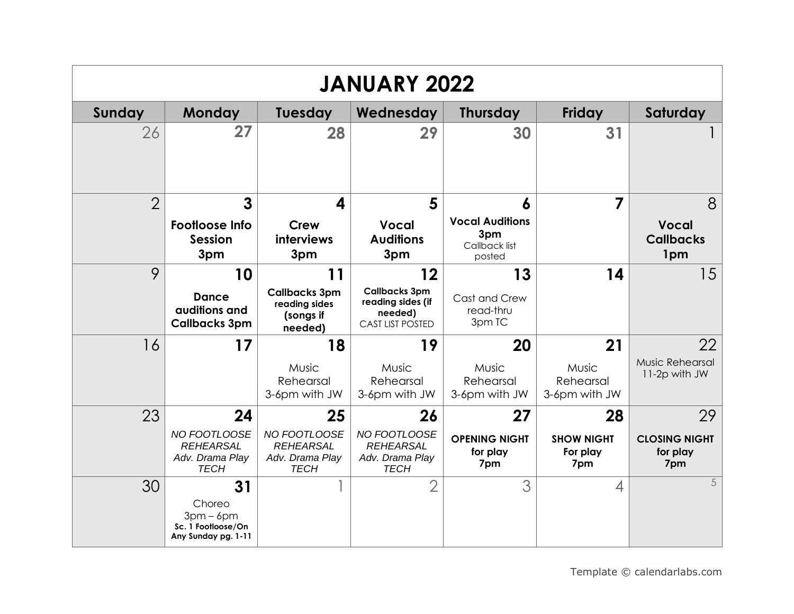| <b>JANUARY 2022</b> |                                                                          |                                                                          |                                                                                       |                                                               |                                            |                                               |  |  |
|---------------------|--------------------------------------------------------------------------|--------------------------------------------------------------------------|---------------------------------------------------------------------------------------|---------------------------------------------------------------|--------------------------------------------|-----------------------------------------------|--|--|
| Sunday              | <b>Monday</b>                                                            | <b>Tuesday</b>                                                           | Wednesday                                                                             | <b>Thursday</b>                                               | Friday                                     | Saturday                                      |  |  |
| 26                  | 27                                                                       | 28                                                                       | 29                                                                                    | 30                                                            | 31                                         |                                               |  |  |
| $\overline{2}$      | 3<br><b>Footloose Info</b><br><b>Session</b><br>3pm                      | 4<br>Crew<br>interviews<br>3pm                                           | 5<br><b>Vocal</b><br><b>Auditions</b><br>3pm                                          | 6<br><b>Vocal Auditions</b><br>3pm<br>Callback list<br>posted | 7                                          | 8<br><b>Vocal</b><br><b>Callbacks</b><br>1pm  |  |  |
| 9                   | 10<br><b>Dance</b><br>auditions and<br><b>Callbacks 3pm</b>              | 11<br><b>Callbacks 3pm</b><br>reading sides<br>(songs if<br>needed)      | 12<br><b>Callbacks 3pm</b><br>reading sides (if<br>needed)<br><b>CAST LIST POSTED</b> | 13<br>Cast and Crew<br>read-thru<br>3pm TC                    | 14                                         | 15                                            |  |  |
| 16                  | 17                                                                       | 18<br>Music<br>Rehearsal<br>3-6pm with JW                                | 19<br>Music<br>Rehearsal<br>3-6pm with JW                                             | 20<br>Music<br>Rehearsal<br>3-6pm with JW                     | 21<br>Music<br>Rehearsal<br>3-6pm with JW  | 22<br>Music Rehearsal<br>11-2p with JW        |  |  |
| 23                  | 24<br>NO FOOTLOOSE<br><b>REHEARSAL</b><br>Adv. Drama Play<br><b>TECH</b> | 25<br>NO FOOTLOOSE<br><b>REHEARSAL</b><br>Adv. Drama Play<br><b>TECH</b> | 26<br>NO FOOTLOOSE<br><b>REHEARSAL</b><br>Adv. Drama Play<br><b>TECH</b>              | 27<br><b>OPENING NIGHT</b><br>for play<br>7pm                 | 28<br><b>SHOW NIGHT</b><br>For play<br>7pm | 29<br><b>CLOSING NIGHT</b><br>for play<br>7pm |  |  |
| 30                  | 31<br>Choreo<br>$3pm-6pm$<br>Sc. 1 Footloose/On<br>Any Sunday pg. 1-11   |                                                                          | $\overline{2}$                                                                        | 3                                                             | 4                                          | 5                                             |  |  |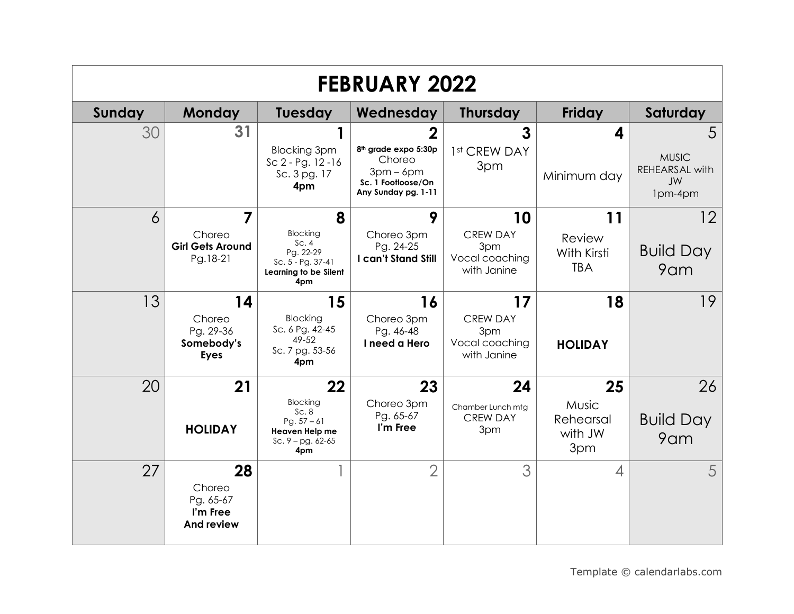| <b>FEBRUARY 2022</b> |                                                            |                                                                                                |                                                                                                           |                                                               |                                                   |                                           |  |
|----------------------|------------------------------------------------------------|------------------------------------------------------------------------------------------------|-----------------------------------------------------------------------------------------------------------|---------------------------------------------------------------|---------------------------------------------------|-------------------------------------------|--|
| Sunday               | <b>Monday</b>                                              | <b>Tuesday</b>                                                                                 | Wednesday                                                                                                 | <b>Thursday</b>                                               | <b>Friday</b>                                     | Saturday                                  |  |
| 30                   | 31                                                         | <b>Blocking 3pm</b><br>$Sc 2 - Pg. 12 - 16$<br>Sc. 3 pg. 17<br>4pm                             | 2<br>8 <sup>th</sup> grade expo 5:30p<br>Choreo<br>$3pm-6pm$<br>Sc. 1 Footloose/On<br>Any Sunday pg. 1-11 | 3<br>1st CREW DAY<br>3pm                                      | 4<br>Minimum day                                  | 5<br><b>MUSIC</b><br>REHEARSAL with<br>JW |  |
| 6                    | $\overline{7}$                                             | 8                                                                                              | 9                                                                                                         | 10                                                            | 11                                                | 1pm-4pm<br>12                             |  |
|                      | Choreo<br><b>Girl Gets Around</b><br>Pg.18-21              | <b>Blocking</b><br>Sc.4<br>Pg. 22-29<br>Sc. 5 - Pg. 37-41<br>Learning to be Silent<br>4pm      | Choreo 3pm<br>Pg. 24-25<br>I can't Stand Still                                                            | <b>CREW DAY</b><br>3pm<br>Vocal coaching<br>with Janine       | Review<br>With Kirsti<br><b>TBA</b>               | <b>Build Day</b><br>9am                   |  |
| 13                   | 14<br>Choreo<br>Pg. 29-36<br>Somebody's<br><b>Eyes</b>     | 15<br>Blocking<br>Sc. 6 Pg. 42-45<br>49-52<br>Sc. 7 pg. 53-56<br>4pm                           | 16<br>Choreo 3pm<br>Pg. 46-48<br>I need a Hero                                                            | 17<br><b>CREW DAY</b><br>3pm<br>Vocal coaching<br>with Janine | 18<br><b>HOLIDAY</b>                              | 19                                        |  |
| 20                   | 21<br><b>HOLIDAY</b>                                       | 22<br><b>Blocking</b><br>Sc.8<br>Pg. $57 - 61$<br>Heaven Help me<br>Sc. $9 - pg. 62-65$<br>4pm | 23<br>Choreo 3pm<br>Pg. 65-67<br>I'm Free                                                                 | 24<br>Chamber Lunch mtg<br><b>CREW DAY</b><br>3pm             | 25<br><b>Music</b><br>Rehearsal<br>with JW<br>3pm | 26<br><b>Build Day</b><br>9am             |  |
| 27                   | 28<br>Choreo<br>Pg. 65-67<br>I'm Free<br><b>And review</b> |                                                                                                | $\overline{2}$                                                                                            | 3                                                             | $\overline{\mathcal{A}}$                          | 5                                         |  |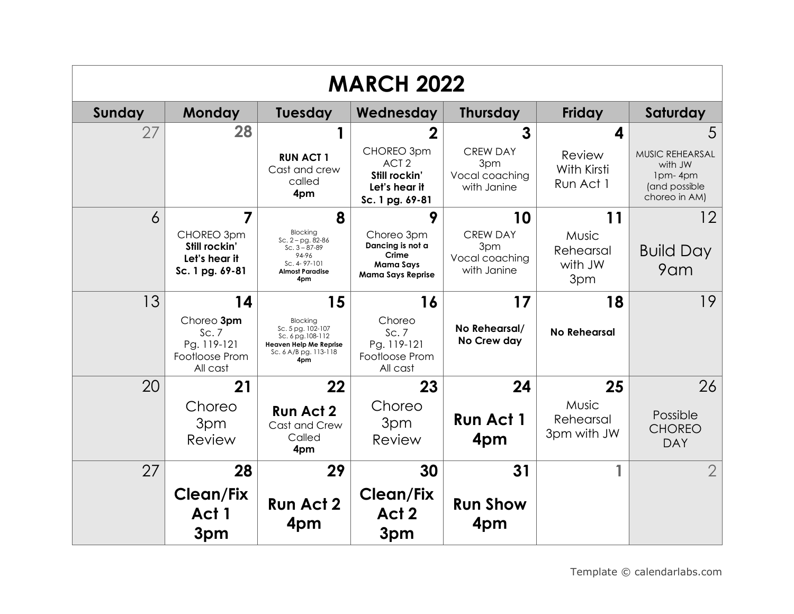| <b>MARCH 2022</b> |                                                                 |                                                                                                                            |                                                                                     |                                                         |                                      |                                                                         |  |
|-------------------|-----------------------------------------------------------------|----------------------------------------------------------------------------------------------------------------------------|-------------------------------------------------------------------------------------|---------------------------------------------------------|--------------------------------------|-------------------------------------------------------------------------|--|
| Sunday            | <b>Monday</b>                                                   | <b>Tuesday</b>                                                                                                             | Wednesday                                                                           | <b>Thursday</b>                                         | Friday                               | Saturday                                                                |  |
| 27                | 28                                                              | 1                                                                                                                          |                                                                                     | 3                                                       | 4                                    | 5                                                                       |  |
|                   |                                                                 | <b>RUN ACT 1</b><br>Cast and crew<br>called<br>4pm                                                                         | CHOREO 3pm<br>ACT <sub>2</sub><br>Still rockin'<br>Let's hear it<br>Sc. 1 pg. 69-81 | <b>CREW DAY</b><br>3pm<br>Vocal coaching<br>with Janine | Review<br>With Kirsti<br>Run Act 1   | MUSIC REHEARSAL<br>with JW<br>1pm-4pm<br>(and possible<br>choreo in AM) |  |
| 6                 | $\overline{7}$                                                  | 8                                                                                                                          | 9                                                                                   | 10                                                      | 11                                   | 12                                                                      |  |
|                   | CHOREO 3pm<br>Still rockin'<br>Let's hear it<br>Sc. 1 pg. 69-81 | <b>Blocking</b><br>$Sc. 2 - pg. 82-86$<br>$Sc.3 - 87-89$<br>94-96<br>Sc. 4-97-101<br><b>Almost Paradise</b><br>4pm         | Choreo 3pm<br>Dancing is not a<br>Crime<br>Mama Says<br><b>Mama Says Reprise</b>    | <b>CREW DAY</b><br>3pm<br>Vocal coaching<br>with Janine | Music<br>Rehearsal<br>with JW<br>3pm | <b>Build Day</b><br>9am                                                 |  |
| 13                | 14                                                              | 15                                                                                                                         | 16                                                                                  | 17                                                      | 18                                   | 19                                                                      |  |
|                   | Choreo 3pm<br>Sc.7<br>Pg. 119-121<br>Footloose Prom<br>All cast | <b>Blocking</b><br>Sc. 5 pg. 102-107<br>Sc. 6 pg. 108-112<br><b>Heaven Help Me Reprise</b><br>Sc. 6 A/B pg. 113-118<br>4pm | Choreo<br>Sc.7<br>Pg. 119-121<br>Footloose Prom<br>All cast                         | No Rehearsal/<br>No Crew day                            | <b>No Rehearsal</b>                  |                                                                         |  |
| 20                | 21                                                              | 22                                                                                                                         | 23                                                                                  | 24                                                      | 25                                   | 26                                                                      |  |
|                   | Choreo<br>3pm<br>Review                                         | <b>Run Act 2</b><br>Cast and Crew<br>Called<br>4pm                                                                         | Choreo<br>3pm<br>Review                                                             | <b>Run Act 1</b><br>4pm                                 | Music<br>Rehearsal<br>3pm with JW    | Possible<br><b>CHOREO</b><br><b>DAY</b>                                 |  |
| 27                | 28                                                              | 29                                                                                                                         | 30                                                                                  | 31                                                      |                                      | $\overline{2}$                                                          |  |
|                   | <b>Clean/Fix</b><br>Act 1<br>3pm                                | <b>Run Act 2</b><br>4pm                                                                                                    | <b>Clean/Fix</b><br>Act 2<br>3pm                                                    | <b>Run Show</b><br>4pm                                  |                                      |                                                                         |  |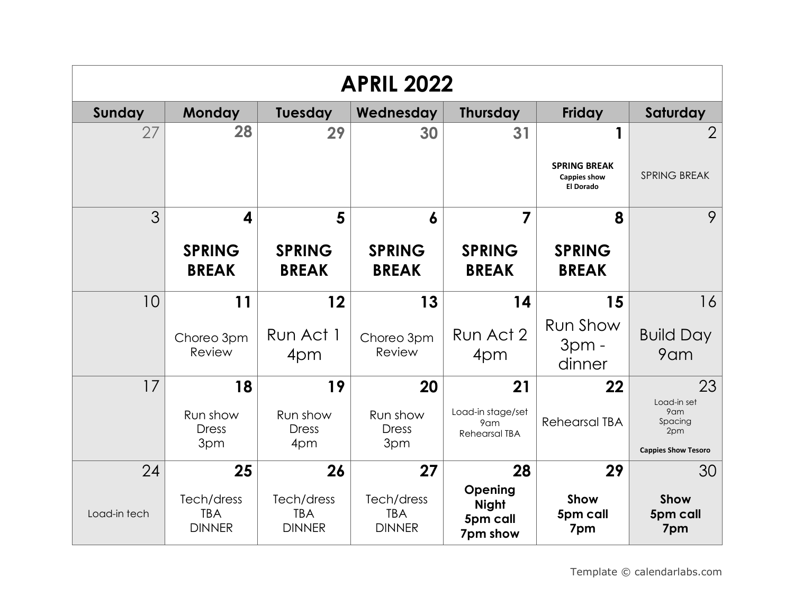| <b>APRIL 2022</b> |                                           |                                           |                                           |                                                  |                                                         |                                                                    |  |  |
|-------------------|-------------------------------------------|-------------------------------------------|-------------------------------------------|--------------------------------------------------|---------------------------------------------------------|--------------------------------------------------------------------|--|--|
| Sunday            | <b>Monday</b>                             | <b>Tuesday</b>                            | Wednesday                                 | <b>Thursday</b>                                  | <b>Friday</b>                                           | Saturday                                                           |  |  |
| 27                | 28                                        | 29                                        | 30                                        | 31                                               | 1                                                       | $\overline{2}$                                                     |  |  |
|                   |                                           |                                           |                                           |                                                  | <b>SPRING BREAK</b><br><b>Cappies show</b><br>El Dorado | <b>SPRING BREAK</b>                                                |  |  |
| 3                 | 4                                         | 5                                         | 6                                         | 7                                                | 8                                                       | 9                                                                  |  |  |
|                   | <b>SPRING</b><br><b>BREAK</b>             | <b>SPRING</b><br><b>BREAK</b>             | <b>SPRING</b><br><b>BREAK</b>             | <b>SPRING</b><br><b>BREAK</b>                    | <b>SPRING</b><br><b>BREAK</b>                           |                                                                    |  |  |
| 10                | 11                                        | 12                                        | 13                                        | 14                                               | 15                                                      | 16                                                                 |  |  |
|                   | Choreo 3pm<br>Review                      | Run Act 1<br>4pm                          | Choreo 3pm<br>Review                      | Run Act 2<br>4pm                                 | Run Show<br>$3pm -$<br>dinner                           | <b>Build Day</b><br>9am                                            |  |  |
| 17                | 18                                        | 19                                        | 20                                        | 21                                               | 22                                                      | 23                                                                 |  |  |
|                   | Run show<br><b>Dress</b><br>3pm           | Run show<br><b>Dress</b><br>4pm           | Run show<br><b>Dress</b><br>3pm           | Load-in stage/set<br>9am<br><b>Rehearsal TBA</b> | <b>Rehearsal TBA</b>                                    | Load-in set<br>9am<br>Spacing<br>2pm<br><b>Cappies Show Tesoro</b> |  |  |
| 24                | 25                                        | 26                                        | 27                                        | 28                                               | 29                                                      | 30                                                                 |  |  |
| Load-in tech      | Tech/dress<br><b>TBA</b><br><b>DINNER</b> | Tech/dress<br><b>TBA</b><br><b>DINNER</b> | Tech/dress<br><b>TBA</b><br><b>DINNER</b> | Opening<br><b>Night</b><br>5pm call<br>7pm show  | Show<br>5pm call<br>7pm                                 | Show<br>5pm call<br>7pm                                            |  |  |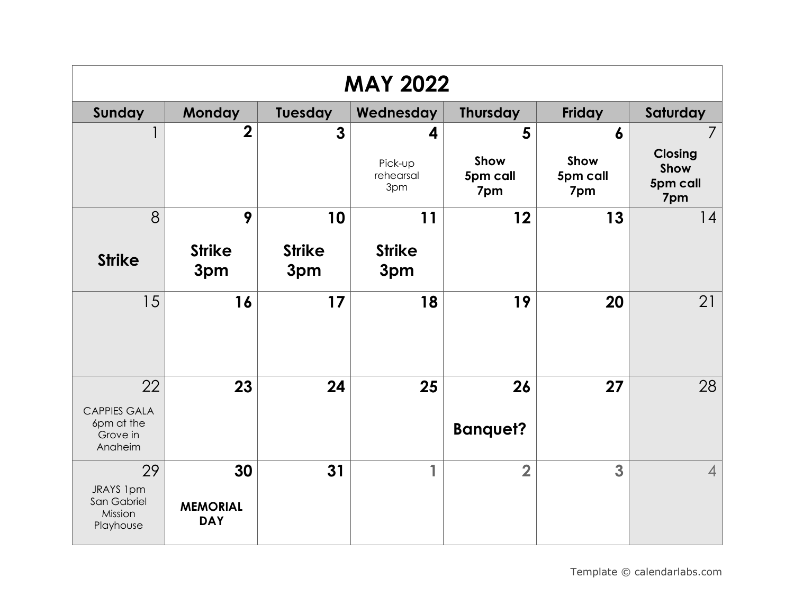| <b>MAY 2022</b>                                                |                                     |                      |                             |                         |                         |                                           |  |
|----------------------------------------------------------------|-------------------------------------|----------------------|-----------------------------|-------------------------|-------------------------|-------------------------------------------|--|
| Sunday                                                         | Monday                              | <b>Tuesday</b>       | Wednesday                   | <b>Thursday</b>         | Friday                  | Saturday                                  |  |
| 1                                                              | $\overline{2}$                      | $\mathbf{3}$         | 4                           | 5                       | $\boldsymbol{6}$        | $\overline{7}$                            |  |
|                                                                |                                     |                      | Pick-up<br>rehearsal<br>3pm | Show<br>5pm call<br>7pm | Show<br>5pm call<br>7pm | <b>Closing</b><br>Show<br>5pm call<br>7pm |  |
| 8                                                              | 9                                   | 10                   | 11                          | 12                      | 13                      | 14                                        |  |
| <b>Strike</b>                                                  | <b>Strike</b><br>3pm                | <b>Strike</b><br>3pm | <b>Strike</b><br>3pm        |                         |                         |                                           |  |
| 15                                                             | 16                                  | 17                   | 18                          | 19                      | 20                      | 21                                        |  |
| 22<br><b>CAPPIES GALA</b><br>6pm at the<br>Grove in<br>Anaheim | 23                                  | 24                   | 25                          | 26<br><b>Banquet?</b>   | 27                      | 28                                        |  |
| 29<br>JRAYS 1pm<br>San Gabriel<br>Mission<br>Playhouse         | 30<br><b>MEMORIAL</b><br><b>DAY</b> | 31                   | 1                           | $\overline{\mathbf{2}}$ | 3                       | $\overline{4}$                            |  |